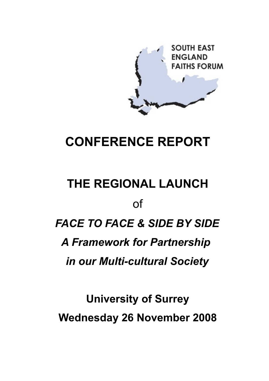

## **CONFERENCE REPORT**

# **THE REGIONAL LAUNCH** of *FACE TO FACE & SIDE BY SIDE A Framework for Partnership in our Multi-cultural Society*

**University of Surrey Wednesday 26 November 2008**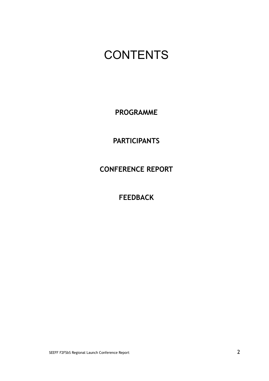### **CONTENTS**

**PROGRAMME**

**PARTICIPANTS**

**CONFERENCE REPORT**

**FEEDBACK**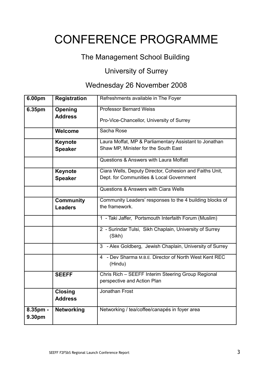## CONFERENCE PROGRAMME

### The Management School Building

### University of Surrey

### Wednesday 26 November 2008

| 6.00pm             | <b>Registration</b> | Refreshments available in The Foyer                               |
|--------------------|---------------------|-------------------------------------------------------------------|
| 6.35pm             | Opening             | <b>Professor Bernard Weiss</b>                                    |
|                    | <b>Address</b>      | Pro-Vice-Chancellor, University of Surrey                         |
|                    | Welcome             | Sacha Rose                                                        |
|                    | Keynote             | Laura Moffat, MP & Parliamentary Assistant to Jonathan            |
|                    | <b>Speaker</b>      | Shaw MP, Minister for the South East                              |
|                    |                     | Questions & Answers with Laura Moffatt                            |
|                    | Keynote             | Ciara Wells, Deputy Director, Cohesion and Faiths Unit,           |
|                    | <b>Speaker</b>      | Dept. for Communities & Local Government                          |
|                    |                     | Questions & Answers with Ciara Wells                              |
|                    | <b>Community</b>    | Community Leaders' responses to the 4 building blocks of          |
|                    | <b>Leaders</b>      | the framework.                                                    |
|                    |                     | 1 - Taki Jaffer, Portsmouth Interfaith Forum (Muslim)             |
|                    |                     | 2 - Surindar Tulsi, Sikh Chaplain, University of Surrey<br>(Sikh) |
|                    |                     | 3 - Alex Goldberg, Jewish Chaplain, University of Surrey          |
|                    |                     | 4 - Dev Sharma M.B.E. Director of North West Kent REC<br>(Hindu)  |
|                    | <b>SEEFF</b>        | Chris Rich - SEEFF Interim Steering Group Regional                |
|                    |                     | perspective and Action Plan                                       |
|                    | <b>Closing</b>      | Jonathan Frost                                                    |
|                    | <b>Address</b>      |                                                                   |
| 8.35pm -<br>9.30pm | <b>Networking</b>   | Networking / tea/coffee/canapés in foyer area                     |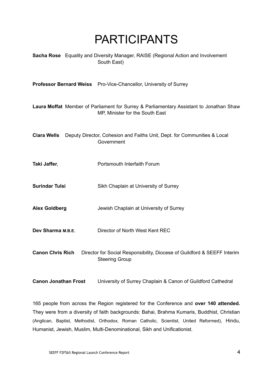### PARTICIPANTS

| <b>Sacha Rose</b> Equality and Diversity Manager, RAISE (Regional Action and Involvement |
|------------------------------------------------------------------------------------------|
| South East)                                                                              |

**Professor Bernard Weiss** Pro-Vice-Chancellor, University of Surrey

**Laura Moffat** Member of Parliament for Surrey & Parliamentary Assistant to Jonathan Shaw MP, Minister for the South East

| <b>Ciara Wells</b> Deputy Director, Cohesion and Faiths Unit, Dept. for Communities & Local |
|---------------------------------------------------------------------------------------------|
| Government                                                                                  |

- **Taki Jaffer.** Portsmouth Interfaith Forum
- **Surindar Tulsi** Sikh Chaplain at University of Surrey
- **Alex Goldberg** Jewish Chaplain at University of Surrey
- **Dev Sharma M.B.E.** Director of North West Kent REC
- **Canon Chris Rich** Director for Social Responsibility, Diocese of Guildford & SEEFF Interim Steering Group
- **Canon Jonathan Frost** University of Surrey Chaplain & Canon of Guildford Cathedral

165 people from across the Region registered for the Conference and **over 140 attended.** They were from a diversity of faith backgrounds: Bahai, Brahma Kumaris, Buddhist, Christian (Anglican, Baptist, Methodist, Orthodox, Roman Catholic, Scientist, United Reformed), Hindu, Humanist, Jewish, Muslim, Multi-Denominational, Sikh and Unificationist.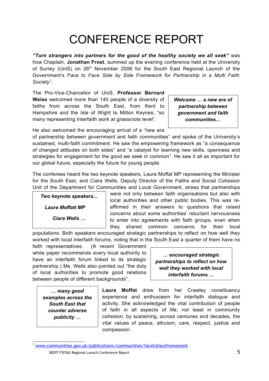## CONFERENCE REPORT

*"Turn strangers into partners for the good of the healthy society we all seek"* was how Chaplain, **Jonathan Frost**, summed up the evening conference held at the University of Surrey (UniS) on 26<sup>th</sup> November 2006 for the South East Regional Launch of the Government's *Face to Face Side by Side Framework for Partnership in a Multi Faith Society[1](#page-4-0)* .

The Pro-Vice-Chancellor of UniS, **Professor Bernard Weiss** welcomed more than 140 people of a diversity of faiths from across the South East, from Kent to Hampshire and the Isle of Wight to Milton Keynes; "so many representing Interfaith work at grassroots level".

*Welcome … a new era of partnership between government and faith communities…*

He also welcomed the encouraging arrival of a *"*new era

of partnership between government and faith communities" and spoke of the University's sustained, multi-faith commitment. He saw the empowering framework as "a consequence of changed attitudes on both sides" and "a catalyst for learning new skills, openness and strategies for engagement for the good we seek in common". He saw it all as important for our global future, especially the future for young people.

The conferees heard the two keynote speakers, Laura Moffat MP representing the Minister for the South East, and Ciara Wells, Deputy Director of the Faiths and Social Cohesion Unit of the Department for Communities and Local Government, stress that partnerships

*Two keynote speakers... Laura Moffatt MP* 

*Ciara Wells …*

were not only between faith organisations but also with local authorities and other public bodies. This was reaffirmed in their answers to questions that raised concerns about some authorities' reluctant nervousness to enter into agreements with faith groups, even when they shared common concerns for their local

populations. Both speakers encouraged strategic partnerships to reflect on how well they worked with local interfaith forums, noting that in the South East a quarter of them have no

faith representatives. (A recent Government white paper recommends every local authority to have an interfaith forum linked to its strategic partnership.) Ms. Wells also pointed out "the duty of local authorities to promote good relations between people of different backgrounds".

*… encouraged strategic partnerships to reflect on how well they worked with local interfaith forums …*

*… many good examples across the South East that counter adverse publicity …*

**Laura Moffat** drew from her Crawley constituency experience and enthusiasm for interfaith dialogue and activity. She acknowledged the vital contribution of people of faith in all aspects of life, not least in community cohesion, by sustaining, across centuries and decades, the vital values of peace, altruism, care, respect, justice and compassion.

<span id="page-4-0"></span>[www.communities.gov.uk/publications/communities/facetofaceframework](http://www.communities.gov.uk/publications/communities/facetofaceframework)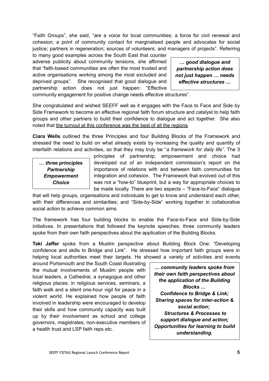"Faith Groups", she said, "are a voice for local communities; a force for civil renewal and cohesion; a point of community contact for marginalised people and advocates for social justice; partners in regeneration; sources of volunteers; and managers of projects". Referring

to many good examples across the South East that counter adverse publicity about community tensions, she affirmed that "faith-based communities are often the most trusted and active organisations working among the most excluded and deprived groups". She recognised that good dialogue and partnership action does not just happen: "Effective

*… good dialogue and partnership action does not just happen … needs effective structures …*

community engagement for positive change needs effective structures".

She congratulated and wished SEEFF well as it engages with the Face to Face and Side by Side Framework to become an effective regional faith forum structure and catalyst to help faith groups and other partners to build their confidence to dialogue and act together. She also noted that the turnout at this conference was the best of all the regions.

**Ciara Wells** outlined the three Principles and four Building Blocks of the Framework and stressed the need to build on what already exists by increasing the quality and quantity of interfaith relations and activities, so that they may truly be "*a framework for daily life"*. The 3

*… three principles Partnership Empowerment Choice*

principles of partnership, empowerment and choice had developed out of an independent commission's report on the importance of relations with and between faith communities for integration and cohesion. The Framework that evolved out of this was not a "how-to" blueprint, but a way for appropriate choices to be made locally. There are two aspects – "Face-to-Face" dialogue

that will help groups, organisations and individuals to get to know and understand each other, with their differences and similarities; and "Side-by-Side" working together in collaborative social action to achieve common aims.

The framework has four building blocks to enable the Face-to-Face and Side-by-Side initiatives. In presentations that followed the keynote speeches, three community leaders spoke from their own faith perspectives about the application of the Building Blocks.

**Taki Jaffer** spoke from a Muslim perspective about Building Block One: "Developing confidence and skills to Bridge and Link". He stressed how important faith groups were in helping local authorities meet their targets. He showed a variety of activities and events

around Portsmouth and the South Coast illustrating the mutual involvements of Muslim people with local leaders, a Cathedral, a synagogue and other religious places; in religious services, seminars, a faith walk and a silent one-hour vigil for peace in a violent world. He explained how people of faith involved in leadership were encouraged to develop their skills and how community capacity was built up by their involvement as school and college governors, magistrates, non-executive members of a health trust and LSP faith reps etc.

*… community leaders spoke from their own faith perspectives about the application of the Building Blocks … Confidence to Bridge & Link; Sharing spaces for inter-action & social action; Structures & Processes to support dialogue and action; Opportunities for learning to build understanding.*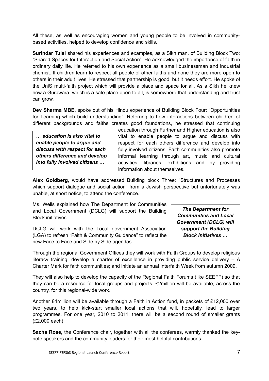All these, as well as encouraging women and young people to be involved in communitybased activities, helped to develop confidence and skills.

**Surindar Tulsi** shared his experiences and examples, as a Sikh man, of Building Block Two: "Shared Spaces for Interaction and Social Action". He acknowledged the importance of faith in ordinary daily life. He referred to his own experience as a small businessman and industrial chemist. If children learn to respect all people of other faiths and none they are more open to others in their adult lives. He stressed that partnership is good, but it needs effort. He spoke of the UniS multi-faith project which will provide a place and space for all. As a Sikh he knew how a Gurdwara, which is a safe place open to all, is somewhere that understanding and trust can grow.

**Dev Sharma MBE**, spoke out of his Hindu experience of Building Block Four: "Opportunities for Learning which build understanding". Referring to how interactions between children of different backgrounds and faiths creates good foundations, he stressed that continuing

… *education is also vital to enable people to argue and discuss with respect for each others difference and develop into fully involved citizens …*

education through Further and Higher education is also vital to enable people to argue and discuss with respect for each others difference and develop into fully involved citizens. Faith communities also promote informal learning through art, music and cultural activities, libraries, exhibitions and by providing information about themselves.

**Alex Goldberg**, would have addressed Building block Three: "Structures and Processes which support dialogue and social action" from a Jewish perspective but unfortunately was unable, at short notice, to attend the conference.

Ms. Wells explained how The Department for Communities and Local Government (DCLG) will support the Building Block initiatives.

DCLG will work with the Local government Association (LGA) to refresh "Faith & Community Guidance" to reflect the new Face to Face and Side by Side agendas.

*The Department for Communities and Local Government (DCLG) will support the Building Block initiatives …*

Through the regional Government Offices they will work with Faith Groups to develop religious literacy training; develop a charter of excellence in providing public service delivery – A Charter Mark for faith communities; and initiate an annual Interfaith Week from autumn 2009.

They will also help to develop the capacity of the Regional Faith Forums (like SEEFF) so that they can be a resource for local groups and projects. £2million will be available, across the country, for this regional-wide work.

Another £4million will be available through a Faith in Action fund, in packets of £12,000 over two years, to help kick-start smaller local actions that will, hopefully, lead to larger programmes. For one year, 2010 to 2011, there will be a second round of smaller grants (£2,000 each).

**Sacha Rose,** the Conference chair, together with all the conferees, warmly thanked the keynote speakers and the community leaders for their most helpful contributions.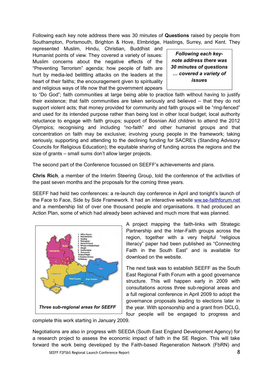Following each key note address there was 30 minutes of **Questions** raised by people from Southampton, Portsmouth, Brighton & Hove, Elmbridge, Hastings, Surrey, and Kent. They

represented Muslim, Hindu, Christian, Buddhist and Humanist points of view. They covered a variety of issues: Muslim concerns about the negative effects of the "Preventing Terrorism" agenda; how people of faith are hurt by media-led belittling attacks on the leaders at the heart of their faiths; the encouragement given to spirituality and religious ways of life now that the government appears

*Following each keynote address there was 30 minutes of questions … covered a variety of issues*

to "Do God"; faith communities at large being able to practice faith without having to justify their existence; that faith communities are taken seriously and believed – that they do not support violent acts; that money provided for community and faith groups will be "ring-fenced" and used for its intended purpose rather than being lost in other local budget; local authority reluctance to engage with faith groups; support of Bosnian Aid children to attend the 2012 Olympics; recognising and including "no-faith" and other humanist groups and that concentration on faith may be exclusive; involving young people in the framework; taking seriously, supporting and attending to the declining funding for SACRE's (Standing Advisory Councils for Religious Education); the equitable sharing of funding across the regions and the size of grants – small sums don't allow larger projects.

The second part of the Conference focussed on SEEFF's achievements and plans.

**Chris Rich**, a member of the Interim Steering Group, told the conference of the activities of the past seven months and the proposals for the coming three years.

SEEFF had held two conferences: a re-launch day conference in April and tonight's launch of the Face to Face, Side by Side Framework. It had an interactive website [ww.se-faithforum.net](http://www.se-faithforum.net/) and a membership list of over one thousand people and organisations. It had produced an Action Plan, some of which had already been achieved and much more that was planned.



A project mapping the faith-links with Strategic Partnership and the Inter-Faith groups across the region, together with a very helpful "religious literacy" paper had been published as "Connecting Faith in the South East" and is available for download on the website.

The next task was to establish SEEFF as the South East Regional Faith Forum with a good governance structure. This will happen early in 2009 with consultations across three sub-regional areas and a full regional conference in April 2009 to adopt the governance proposals leading to elections later in the year. With sponsorship and a grant from DCLG, four people will be engaged to progress and

complete this work starting in January 2009.

Negotiations are also in progress with SEEDA (South East England Development Agency) for a research project to assess the economic impact of faith in the SE Region. This will take forward the work being developed by the Faith-based Regeneration Network (FbRN) and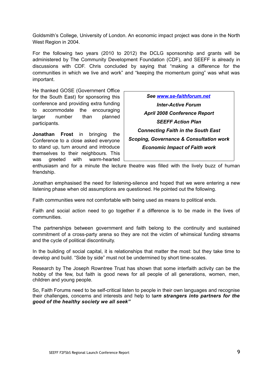Goldsmith's College, University of London. An economic impact project was done in the North West Region in 2004.

For the following two years (2010 to 2012) the DCLG sponsorship and grants will be administered by The Community Development Foundation (CDF), and SEEFF is already in discussions with CDF. Chris concluded by saying that "making a difference for the communities in which we live and work" and "keeping the momentum going" was what was important.

He thanked GOSE (Government Office for the South East) for sponsoring this conference and providing extra funding to accommodate the encouraging larger number than planned participants.

**Jonathan Frost** in bringing the Conference to a close asked everyone to stand up, turn around and introduce themselves to their neighbours. This was greeted with warm-hearted

*See [www.se-faithforum.net](http://www.se-faithforum.net/) Inter-Active Forum April 2008 Conference Report SEEFF Action Plan Connecting Faith in the South East Scoping, Governance & Consultation work Economic Impact of Faith work*

enthusiasm and for a minute the lecture theatre was filled with the lively buzz of human friendship.

Jonathan emphasised the need for listening-silence and hoped that we were entering a new listening phase when old assumptions are questioned. He pointed out the following.

Faith communities were not comfortable with being used as means to political ends.

Faith and social action need to go together if a difference is to be made in the lives of communities.

The partnerships between government and faith belong to the continuity and sustained commitment of a cross-party arena so they are not the victim of whimsical funding streams and the cycle of political discontinuity.

In the building of social capital, it is relationships that matter the most: but they take time to develop and build. "Side by side" must not be undermined by short time-scales.

Research by The Joseph Rowntree Trust has shown that some interfaith activity can be the hobby of the few, but faith is good news for all people of all generations, women, men, children and young people.

So, Faith Forums need to be self-critical listen to people in their own languages and recognise their challenges, concerns and interests and help to t*urn strangers into partners for the good of the healthy society we all seek"*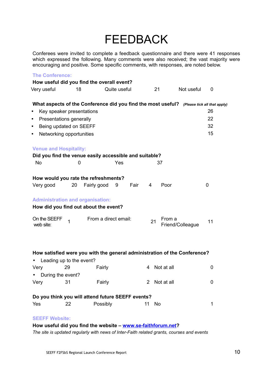### FEEDBACK

Conferees were invited to complete a feedback questionnaire and there were 41 responses which expressed the following. Many comments were also received; the vast majority were encouraging and positive. Some specific comments, with responses, are noted below.

| <b>The Conference:</b>               |                                                                                           |                      |           |              |                  |    |
|--------------------------------------|-------------------------------------------------------------------------------------------|----------------------|-----------|--------------|------------------|----|
|                                      | How useful did you find the overall event?                                                |                      |           |              |                  |    |
| Very useful                          | 18                                                                                        | Quite useful         |           | 21           | Not useful       | 0  |
|                                      | What aspects of the Conference did you find the most useful? (Please tick all that apply) |                      |           |              |                  |    |
| $\bullet$                            | Key speaker presentations                                                                 |                      |           |              |                  | 26 |
| Presentations generally<br>$\bullet$ |                                                                                           |                      |           |              |                  | 22 |
| $\bullet$                            | Being updated on SEEFF                                                                    |                      |           |              |                  | 32 |
| $\bullet$                            | Networking opportunities                                                                  |                      |           |              |                  | 15 |
| <b>Venue and Hospitality:</b>        |                                                                                           |                      |           |              |                  |    |
|                                      | Did you find the venue easily accessible and suitable?                                    |                      |           |              |                  |    |
| <b>No</b>                            | 0                                                                                         | Yes                  |           | 37           |                  |    |
|                                      | How would you rate the refreshments?                                                      |                      |           |              |                  |    |
| Very good                            | 20<br>Fairly good                                                                         | 9                    | Fair<br>4 | Poor         |                  | 0  |
|                                      | <b>Administration and organisation:</b>                                                   |                      |           |              |                  |    |
|                                      | How did you find out about the event?                                                     |                      |           |              |                  |    |
| On the SEEFF<br>web site:            | $\overline{1}$                                                                            | From a direct email: |           | From a<br>21 | Friend/Colleague | 11 |
|                                      |                                                                                           |                      |           |              |                  |    |
|                                      | How satisfied were you with the general administration of the Conference?                 |                      |           |              |                  |    |
| • Leading up to the event?           |                                                                                           |                      |           |              |                  |    |
| Very                                 | Fairly<br>29                                                                              |                      | 4         | Not at all   |                  | 0  |
| During the event?                    |                                                                                           |                      |           |              |                  |    |
| Very                                 | 31                                                                                        | Fairly               | 2         | Not at all   |                  | 0  |
|                                      | Do you think you will attend future SEEFF events?                                         |                      |           |              |                  |    |
| Yes                                  | 22                                                                                        | Possibly             | 11        | No           |                  | 1  |
| <b>SEEFF Website:</b>                |                                                                                           |                      |           |              |                  |    |
|                                      | How useful did you find the website - www.se-faithforum.net?                              |                      |           |              |                  |    |

*The site is updated regularly with news of Inter-Faith related grants, courses and events*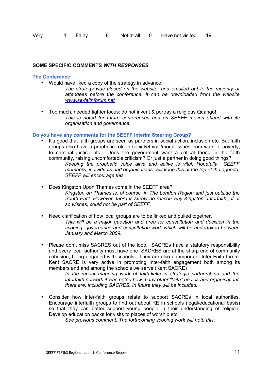| Very | 4 Fairly | Not at all | Have not visited | -19 |
|------|----------|------------|------------------|-----|
|      |          |            |                  |     |

#### **SOME SPECIFIC COMMENTS** *WITH RESPONSES*

#### **The Conference:**

- Would have liked a copy of the strategy in advance.
	- *The strategy was placed on the website, and emailed out to the majority of attendees before the conference. It can be downloaded from the website [www.se-faithforum.net](http://www.se-faithforum.net/)*
- Too much, needed tighter focus: do not invent & portray a religious Quango! *This is noted for future conferences and as SEEFF moves ahead with its organisation and governance.*

#### **Do you have any comments for the SEEFF Interim Steering Group?**

- It's good that faith groups are seen as partners in social action, inclusion etc. But faith groups also have a prophetic role in social/ethical/moral issues from wars to poverty, to criminal justice etc. Does the government want a critical friend in the faith community, raising uncomfortable criticism? Or just a partner in doing good things? *Keeping the prophetic voice alive and active is vital. Hopefully SEEFF members, individuals and organisations, will keep this at the top of the agenda. SEEFF will encourage this.*
- Does Kingston Upon Thames come in the SEEFF area? *Kingston on Thames is, of course, in The London Region and just outside the South East. However, there is surely no reason why Kingston "Interfaith", if it so wishes, could not be part of SEEFF.*
- Need clarification of how local groups are to be linked and pulled together. *This will be a major question and area for consultation and decision in the scoping, governance and consultation work which will be undertaken between January and March 2009.*
- Please don't miss SACRES out of the loop. SACREs have a statutory responsibility and every local authority must have one SACRES are at the sharp end of community cohesion, being engaged with schools. They are also an important Inter-Faith forum. Kent SACRE is very active in promoting Inter-faith engagement both among its members and and among the schools we serve (Kent SACRE)

*In the recent mapping work of faith-links in strategic partnerships and the interfaith network it was noted how many other "faith" bodies and organisations there are, including SACRES. In future they will be included.*

• Consider how inter-faith groups relate to support SACREs in local authorities. Encourage interfaith groups to find out about RE in schools (legal/educational basis) so that they can better support young people in their understanding of religion. Develop education packs for visits to places of worship etc.

*See previous comment. The forthcoming scoping work will note this*.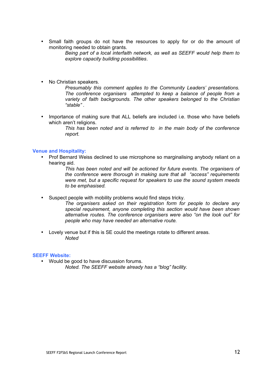• Small faith groups do not have the resources to apply for or do the amount of monitoring needed to obtain grants.

*Being part of a local interfaith network, as well as SEEFF would help them to explore capacity building possibilities*.

• No Christian speakers.

*Presumably this comment applies to the Community Leaders' presentations. The conference organisers attempted to keep a balance of people from a variety of faith backgrounds. The other speakers belonged to the Christian "stable" .*

• Importance of making sure that ALL beliefs are included i.e. those who have beliefs which aren't religions.

> *This has been noted and is referred to in the main body of the conference report.*

#### **Venue and Hospitality:**

• Prof Bernard Weiss declined to use microphone so marginalising anybody reliant on a hearing aid.

> *This has been noted and will be actioned for future events. The organisers of the conference were thorough in making sure that all "access" requirements were met, but a specific request for speakers to use the sound system meeds to be emphasised.*

- Suspect people with mobility problems would find steps tricky.
	- *The organisers asked on their registration form for people to declare any special requirement, anyone completing this section would have been shown alternative routes. The conference organisers were also "on the look out" for people who may have needed an alternative route.*
- Lovely venue but if this is SE could the meetings rotate to different areas. *Noted*

#### **SEEFF Website:**

• Would be good to have discussion forums. *Noted. The SEEFF website already has a "blog" facility.*